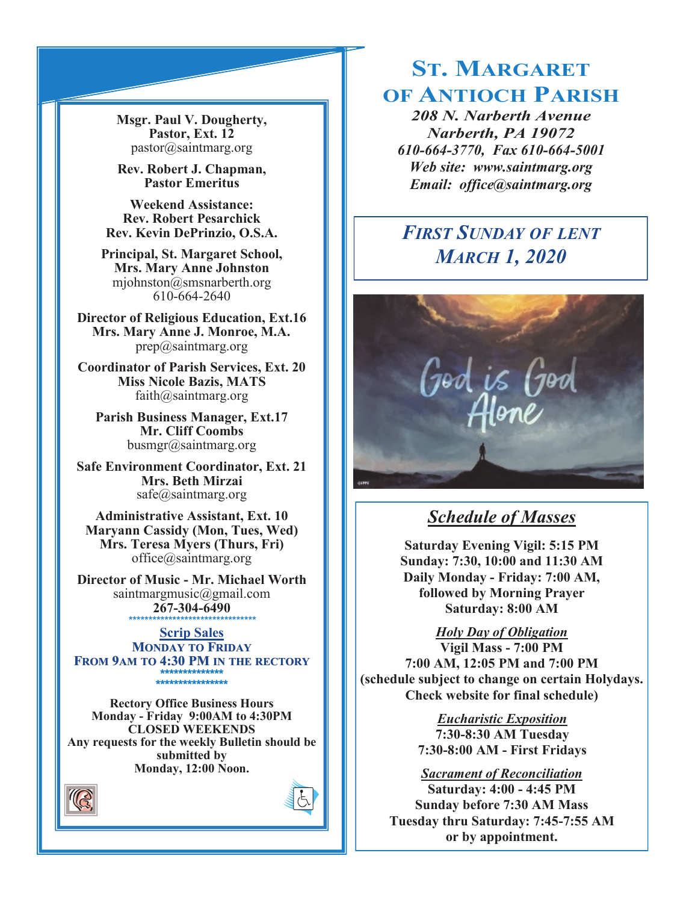**Msgr. Paul V. Dougherty, Pastor, Ext. 12** pastor@saintmarg.org

**Rev. Robert J. Chapman, Pastor Emeritus**

**Weekend Assistance: Rev. Robert Pesarchick Rev. Kevin DePrinzio, O.S.A.**

**Principal, St. Margaret School, Mrs. Mary Anne Johnston**  mjohnston@smsnarberth.org 610-664-2640

**Director of Religious Education, Ext.16 Mrs. Mary Anne J. Monroe, M.A.** prep@saintmarg.org

**Coordinator of Parish Services, Ext. 20 Miss Nicole Bazis, MATS** faith@saintmarg.org

**Parish Business Manager, Ext.17 Mr. Cliff Coombs** busmgr@saintmarg.org

**Safe Environment Coordinator, Ext. 21 Mrs. Beth Mirzai** safe@saintmarg.org

**Administrative Assistant, Ext. 10 Maryann Cassidy (Mon, Tues, Wed) Mrs. Teresa Myers (Thurs, Fri)** office@saintmarg.org

**Director of Music - Mr. Michael Worth** saintmargmusic@gmail.com **267-304-6490** *\*\*\*\*\*\*\*\*\*\*\*\*\*\*\*\*\*\*\*\*\*\*\*\*\*\*\*\*\*\*\*\**

**Scrip Sales MONDAY TO FRIDAY FROM 9AM TO 4:30 PM IN THE RECTORY \*\*\*\*\*\*\*\*\*\*\*\*\*\* \*\*\*\*\*\*\*\*\*\*\*\*\*\*\*\*** 

**Rectory Office Business Hours Monday - Friday 9:00AM to 4:30PM CLOSED WEEKENDS Any requests for the weekly Bulletin should be submitted by Monday, 12:00 Noon.** 





# **ST. MARGARET OF ANTIOCH PARISH**

*208 N. Narberth Avenue Narberth, PA 19072 610-664-3770, Fax 610-664-5001 Web site: www.saintmarg.org Email: office@saintmarg.org*

# *FIRST SUNDAY OF LENT MARCH 1, 2020*



# *Schedule of Masses*

**Saturday Evening Vigil: 5:15 PM Sunday: 7:30, 10:00 and 11:30 AM Daily Monday - Friday: 7:00 AM, followed by Morning Prayer Saturday: 8:00 AM**

*Holy Day of Obligation* **Vigil Mass - 7:00 PM 7:00 AM, 12:05 PM and 7:00 PM (schedule subject to change on certain Holydays. Check website for final schedule)**

> *Eucharistic Exposition*  **7:30-8:30 AM Tuesday 7:30-8:00 AM - First Fridays**

*Sacrament of Reconciliation* **Saturday: 4:00 - 4:45 PM Sunday before 7:30 AM Mass Tuesday thru Saturday: 7:45-7:55 AM or by appointment.**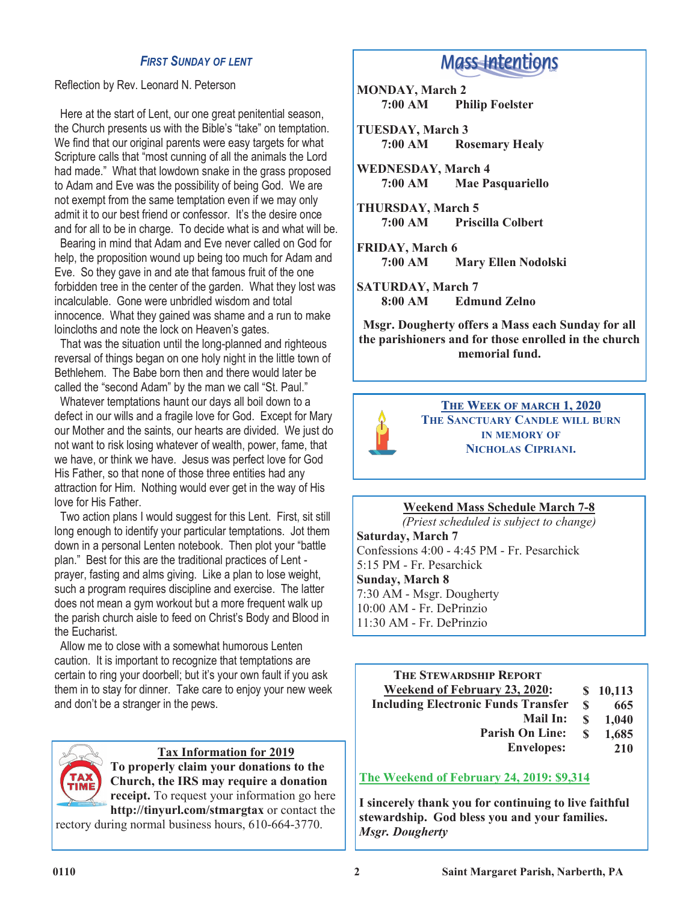### *FIRST SUNDAY OF LENT*

Reflection by Rev. Leonard N. Peterson

 Here at the start of Lent, our one great penitential season, the Church presents us with the Bible's "take" on temptation. We find that our original parents were easy targets for what Scripture calls that "most cunning of all the animals the Lord had made." What that lowdown snake in the grass proposed to Adam and Eve was the possibility of being God. We are not exempt from the same temptation even if we may only admit it to our best friend or confessor. It's the desire once and for all to be in charge. To decide what is and what will be.

 Bearing in mind that Adam and Eve never called on God for help, the proposition wound up being too much for Adam and Eve. So they gave in and ate that famous fruit of the one forbidden tree in the center of the garden. What they lost was incalculable. Gone were unbridled wisdom and total innocence. What they gained was shame and a run to make loincloths and note the lock on Heaven's gates.

 That was the situation until the long-planned and righteous reversal of things began on one holy night in the little town of Bethlehem. The Babe born then and there would later be called the "second Adam" by the man we call "St. Paul."

 Whatever temptations haunt our days all boil down to a defect in our wills and a fragile love for God. Except for Mary our Mother and the saints, our hearts are divided. We just do not want to risk losing whatever of wealth, power, fame, that we have, or think we have. Jesus was perfect love for God His Father, so that none of those three entities had any attraction for Him. Nothing would ever get in the way of His love for His Father.

 Two action plans I would suggest for this Lent. First, sit still long enough to identify your particular temptations. Jot them down in a personal Lenten notebook. Then plot your "battle plan." Best for this are the traditional practices of Lent prayer, fasting and alms giving. Like a plan to lose weight, such a program requires discipline and exercise. The latter does not mean a gym workout but a more frequent walk up the parish church aisle to feed on Christ's Body and Blood in the Eucharist.

 Allow me to close with a somewhat humorous Lenten caution. It is important to recognize that temptations are certain to ring your doorbell; but it's your own fault if you ask them in to stay for dinner. Take care to enjoy your new week and don't be a stranger in the pews.



# **Tax Information for 2019**

**To properly claim your donations to the Church, the IRS may require a donation receipt.** To request your information go here **http://tinyurl.com/stmargtax** or contact the

rectory during normal business hours, 610-664-3770.

# **Mass-Intentions**

- **MONDAY, March 2**<br>7:00 AM Ph **Philip Foelster**
- **TUESDAY, March 3 7:00 AM Rosemary Healy**
- **WEDNESDAY, March 4**<br>7:00 AM Mae Pa **7:00 AM Mae Pasquariello**
- **THURSDAY, March 5 7:00 AM Priscilla Colbert**
- **FRIDAY, March 6 7:00 AM Mary Ellen Nodolski**
- **SATURDAY, March 7 8:00 AM Edmund Zelno**

**Msgr. Dougherty offers a Mass each Sunday for all the parishioners and for those enrolled in the church memorial fund.**



**THE WEEK OF MARCH 1, 2020 THE SANCTUARY CANDLE WILL BURN IN MEMORY OF NICHOLAS CIPRIANI.**

#### **Weekend Mass Schedule March 7-8**

*(Priest scheduled is subject to change)* **Saturday, March 7** Confessions 4:00 - 4:45 PM - Fr. Pesarchick 5:15 PM - Fr. Pesarchick **Sunday, March 8** 7:30 AM - Msgr. Dougherty 10:00 AM - Fr. DePrinzio 11:30 AM - Fr. DePrinzio

| <b>THE STEWARDSHIP REPORT</b>              |    |          |
|--------------------------------------------|----|----------|
| <b>Weekend of February 23, 2020:</b>       |    | \$10,113 |
| <b>Including Electronic Funds Transfer</b> | £. | 665      |
| <b>Mail In:</b>                            | S  | 1,040    |
| <b>Parish On Line:</b>                     | S  | 1,685    |
| <b>Envelopes:</b>                          |    | 210      |

## **The Weekend of February 24, 2019: \$9,314**

**I sincerely thank you for continuing to live faithful stewardship. God bless you and your families.** *Msgr. Dougherty*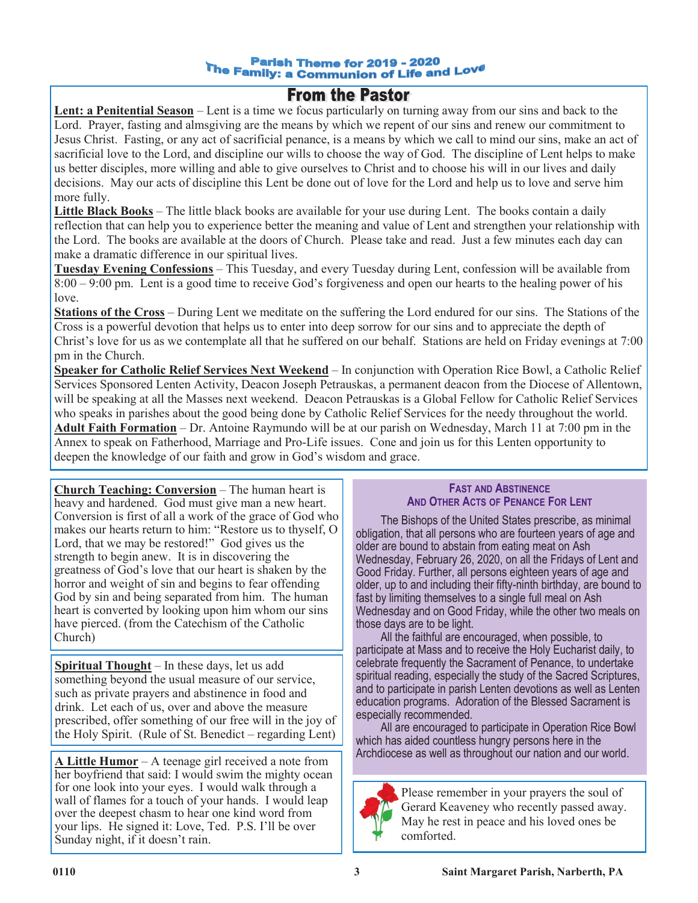#### **Parish Theme for 2019 - 2020** The Family: a Communion of Life and Love

# **From the Pastor**

**Lent: a Penitential Season** – Lent is a time we focus particularly on turning away from our sins and back to the Lord. Prayer, fasting and almsgiving are the means by which we repent of our sins and renew our commitment to Jesus Christ. Fasting, or any act of sacrificial penance, is a means by which we call to mind our sins, make an act of sacrificial love to the Lord, and discipline our wills to choose the way of God. The discipline of Lent helps to make us better disciples, more willing and able to give ourselves to Christ and to choose his will in our lives and daily decisions. May our acts of discipline this Lent be done out of love for the Lord and help us to love and serve him more fully.

**Little Black Books** – The little black books are available for your use during Lent. The books contain a daily reflection that can help you to experience better the meaning and value of Lent and strengthen your relationship with the Lord. The books are available at the doors of Church. Please take and read. Just a few minutes each day can make a dramatic difference in our spiritual lives.

**Tuesday Evening Confessions** – This Tuesday, and every Tuesday during Lent, confession will be available from 8:00 – 9:00 pm. Lent is a good time to receive God's forgiveness and open our hearts to the healing power of his love.

**Stations of the Cross** – During Lent we meditate on the suffering the Lord endured for our sins. The Stations of the Cross is a powerful devotion that helps us to enter into deep sorrow for our sins and to appreciate the depth of Christ's love for us as we contemplate all that he suffered on our behalf. Stations are held on Friday evenings at 7:00 pm in the Church.

**Speaker for Catholic Relief Services Next Weekend** – In conjunction with Operation Rice Bowl, a Catholic Relief Services Sponsored Lenten Activity, Deacon Joseph Petrauskas, a permanent deacon from the Diocese of Allentown, will be speaking at all the Masses next weekend. Deacon Petrauskas is a Global Fellow for Catholic Relief Services who speaks in parishes about the good being done by Catholic Relief Services for the needy throughout the world. **Adult Faith Formation** – Dr. Antoine Raymundo will be at our parish on Wednesday, March 11 at 7:00 pm in the Annex to speak on Fatherhood, Marriage and Pro-Life issues. Cone and join us for this Lenten opportunity to deepen the knowledge of our faith and grow in God's wisdom and grace.

**Church Teaching: Conversion** – The human heart is heavy and hardened. God must give man a new heart. Conversion is first of all a work of the grace of God who makes our hearts return to him: "Restore us to thyself, O Lord, that we may be restored!" God gives us the strength to begin anew. It is in discovering the greatness of God's love that our heart is shaken by the horror and weight of sin and begins to fear offending God by sin and being separated from him. The human heart is converted by looking upon him whom our sins have pierced. (from the Catechism of the Catholic Church)

**Spiritual Thought** – In these days, let us add something beyond the usual measure of our service, such as private prayers and abstinence in food and drink. Let each of us, over and above the measure prescribed, offer something of our free will in the joy of the Holy Spirit. (Rule of St. Benedict – regarding Lent)

**A Little Humor** – A teenage girl received a note from her boyfriend that said: I would swim the mighty ocean for one look into your eyes. I would walk through a wall of flames for a touch of your hands. I would leap over the deepest chasm to hear one kind word from your lips. He signed it: Love, Ted. P.S. I'll be over Sunday night, if it doesn't rain.

#### **FAST AND ABSTINENCE AND OTHER ACTS OF PENANCE FOR LENT**

The Bishops of the United States prescribe, as minimal obligation, that all persons who are fourteen years of age and older are bound to abstain from eating meat on Ash Wednesday, February 26, 2020, on all the Fridays of Lent and Good Friday. Further, all persons eighteen years of age and older, up to and including their fifty-ninth birthday, are bound to fast by limiting themselves to a single full meal on Ash Wednesday and on Good Friday, while the other two meals on those days are to be light.

All the faithful are encouraged, when possible, to participate at Mass and to receive the Holy Eucharist daily, to celebrate frequently the Sacrament of Penance, to undertake spiritual reading, especially the study of the Sacred Scriptures, and to participate in parish Lenten devotions as well as Lenten education programs. Adoration of the Blessed Sacrament is especially recommended.

All are encouraged to participate in Operation Rice Bowl which has aided countless hungry persons here in the Archdiocese as well as throughout our nation and our world.



Please remember in your prayers the soul of Gerard Keaveney who recently passed away. May he rest in peace and his loved ones be comforted.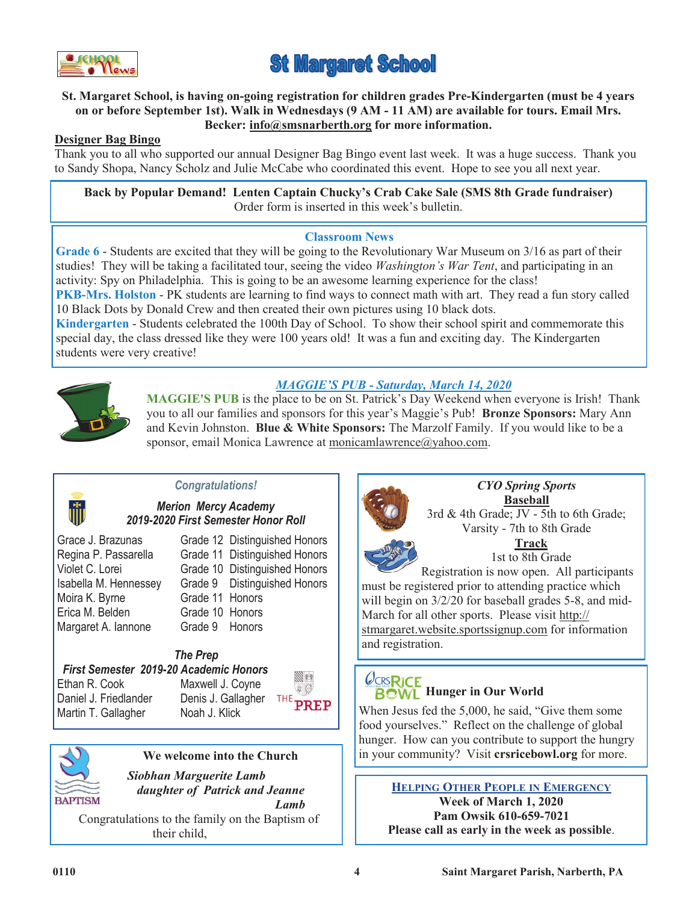



#### **St. Margaret School, is having on-going registration for children grades Pre-Kindergarten (must be 4 years on or before September 1st). Walk in Wednesdays (9 AM - 11 AM) are available for tours. Email Mrs. Becker: [info@smsnarberth.org](mailto:info@smsnarberth.org) for more information.**

#### **Designer Bag Bingo**

Thank you to all who supported our annual Designer Bag Bingo event last week. It was a huge success. Thank you to Sandy Shopa, Nancy Scholz and Julie McCabe who coordinated this event. Hope to see you all next year.

**Back by Popular Demand! Lenten Captain Chucky's Crab Cake Sale (SMS 8th Grade fundraiser)**  Order form is inserted in this week's bulletin.

#### **Classroom News**

**Grade 6** - Students are excited that they will be going to the Revolutionary War Museum on 3/16 as part of their studies! They will be taking a facilitated tour, seeing the video *Washington's War Tent*, and participating in an activity: Spy on Philadelphia. This is going to be an awesome learning experience for the class!

**PKB-Mrs. Holston** - PK students are learning to find ways to connect math with art. They read a fun story called 10 Black Dots by Donald Crew and then created their own pictures using 10 black dots.

**Kindergarten** - Students celebrated the 100th Day of School. To show their school spirit and commemorate this special day, the class dressed like they were 100 years old! It was a fun and exciting day. The Kindergarten students were very creative!



U

# *MAGGIE'S PUB - Saturday, March 14, 2020*

**MAGGIE'S PUB** is the place to be on St. Patrick's Day Weekend when everyone is Irish! Thank you to all our families and sponsors for this year's Maggie's Pub! **Bronze Sponsors:** Mary Ann and Kevin Johnston. **Blue & White Sponsors:** The Marzolf Family. If you would like to be a sponsor, email Monica Lawrence at monicamlawrence@yahoo.com.

### *Congratulations!*

#### *Merion Mercy Academy 2019-2020 First Semester Honor Roll*

| Grace J. Brazunas     |
|-----------------------|
| Regina P. Passarella  |
| Violet C. Lorei       |
| Isabella M. Hennessey |
| Moira K. Byrne        |
| Erica M. Belden       |
| Margaret A. lannone   |

Grade 12 Distinguished Honors Grade 11 Distinguished Honors Grade 10 Distinguished Honors Grade 9 Distinguished Honors Grade 11 Honors Grade 10 Honors Grade 9 Honors

# *The Prep*

#### *First Semester 2019-20 Academic Honors*

Ethan R. Cook Maxwell J. Coyne Daniel J. Friedlander Denis J. Gallagher Martin T. Gallagher Noah J. Klick

**THE** 



# **We welcome into the Church**

 *Siobhan Marguerite Lamb daughter of Patrick and Jeanne Lamb* 

Congratulations to the family on the Baptism of their child,



# *CYO Spring Sports* **Baseball**

3rd & 4th Grade; JV - 5th to 6th Grade; Varsity - 7th to 8th Grade **Track**

#### 1st to 8th Grade

Registration is now open. All participants must be registered prior to attending practice which will begin on  $3/2/20$  for baseball grades 5-8, and mid-March for all other sports. Please visit http:// stmargaret.website.sportssignup.com for information and registration.

# **UCRICE**<br>**BOWL** Hunger in Our World

When Jesus fed the 5,000, he said, "Give them some food yourselves." Reflect on the challenge of global hunger. How can you contribute to support the hungry in your community? Visit **crsricebowl.org** for more.

> **HELPING OTHER PEOPLE IN EMERGENCY Week of March 1, 2020 Pam Owsik 610-659-7021**

**Please call as early in the week as possible**.

**PREP**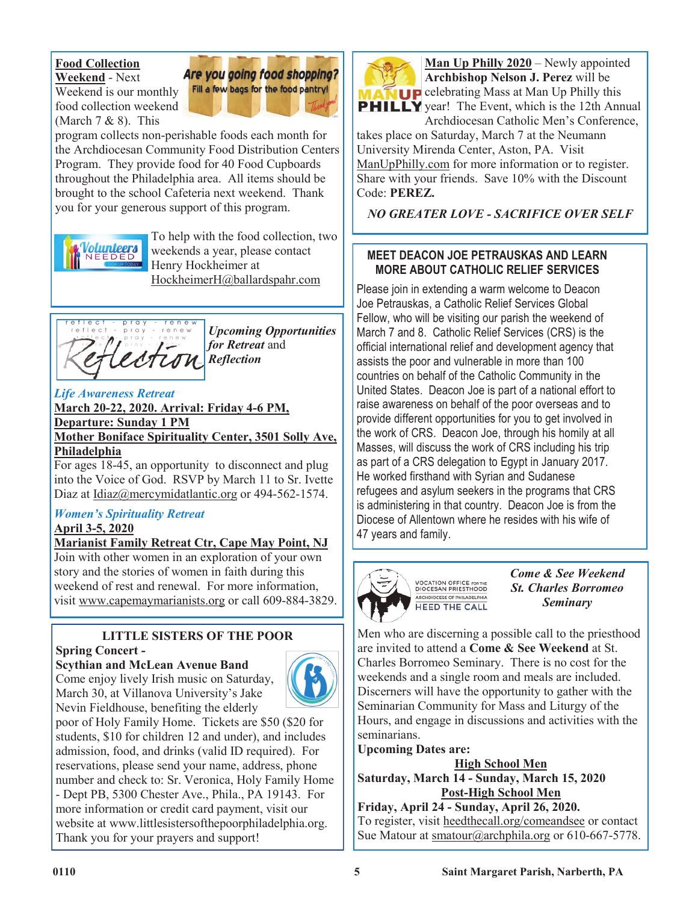#### **Food Collection Weekend** - Next

Weekend is our monthly food collection weekend (March  $7 & 8$ ). This



program collects non-perishable foods each month for the Archdiocesan Community Food Distribution Centers Program. They provide food for 40 Food Cupboards throughout the Philadelphia area. All items should be brought to the school Cafeteria next weekend. Thank you for your generous support of this program.



To help with the food collection, two weekends a year, please contact Henry Hockheimer at HockheimerH@ballardspahr.com



*Upcoming Opportunities for Retreat* and *Reflection*

# *Life Awareness Retreat*

**March 20-22, 2020. Arrival: Friday 4-6 PM, Departure: Sunday 1 PM Mother Boniface Spirituality Center, 3501 Solly Ave, Philadelphia**

For ages 18-45, an opportunity to disconnect and plug into the Voice of God. RSVP by March 11 to Sr. Ivette Diaz at Idiaz@mercymidatlantic.org or 494-562-1574.

# *Women's Spirituality Retreat*

# **April 3-5, 2020**

**Marianist Family Retreat Ctr, Cape May Point, NJ** Join with other women in an exploration of your own story and the stories of women in faith during this weekend of rest and renewal. For more information, visit www.capemaymarianists.org or call 609-884-3829.

#### **LITTLE SISTERS OF THE POOR Spring Concert -**

### **Scythian and McLean Avenue Band**

Come enjoy lively Irish music on Saturday, March 30, at Villanova University's Jake Nevin Fieldhouse, benefiting the elderly



poor of Holy Family Home. Tickets are \$50 (\$20 for students, \$10 for children 12 and under), and includes admission, food, and drinks (valid ID required). For reservations, please send your name, address, phone number and check to: Sr. Veronica, Holy Family Home - Dept PB, 5300 Chester Ave., Phila., PA 19143. For more information or credit card payment, visit our website at www.littlesistersofthepoorphiladelphia.org. Thank you for your prayers and support!



**Man Up Philly 2020** – Newly appointed **Archbishop Nelson J. Perez** will be **LP** celebrating Mass at Man Up Philly this **PHILLY** year! The Event, which is the 12th Annual Archdiocesan Catholic Men's Conference,

takes place on Saturday, March 7 at the Neumann University Mirenda Center, Aston, PA. Visit ManUpPhilly.com for more information or to register. Share with your friends. Save 10% with the Discount Code: **PEREZ.**

*NO GREATER LOVE - SACRIFICE OVER SELF*

# **MEET DEACON JOE PETRAUSKAS AND LEARN MORE ABOUT CATHOLIC RELIEF SERVICES**

Please join in extending a warm welcome to Deacon Joe Petrauskas, a Catholic Relief Services Global Fellow, who will be visiting our parish the weekend of March 7 and 8. Catholic Relief Services (CRS) is the official international relief and development agency that assists the poor and vulnerable in more than 100 countries on behalf of the Catholic Community in the United States. Deacon Joe is part of a national effort to raise awareness on behalf of the poor overseas and to provide different opportunities for you to get involved in the work of CRS. Deacon Joe, through his homily at all Masses, will discuss the work of CRS including his trip as part of a CRS delegation to Egypt in January 2017. He worked firsthand with Syrian and Sudanese refugees and asylum seekers in the programs that CRS is administering in that country. Deacon Joe is from the Diocese of Allentown where he resides with his wife of 47 years and family.



*Come & See Weekend St. Charles Borromeo Seminary*

Men who are discerning a possible call to the priesthood are invited to attend a **Come & See Weekend** at St. Charles Borromeo Seminary. There is no cost for the weekends and a single room and meals are included. Discerners will have the opportunity to gather with the Seminarian Community for Mass and Liturgy of the Hours, and engage in discussions and activities with the seminarians.

**Upcoming Dates are:**

**High School Men Saturday, March 14 - Sunday, March 15, 2020 Post-High School Men**

**Friday, April 24 - Sunday, April 26, 2020.** To register, visit heedthecall.org/comeandsee or contact Sue Matour at smatour@archphila.org or 610-667-5778.